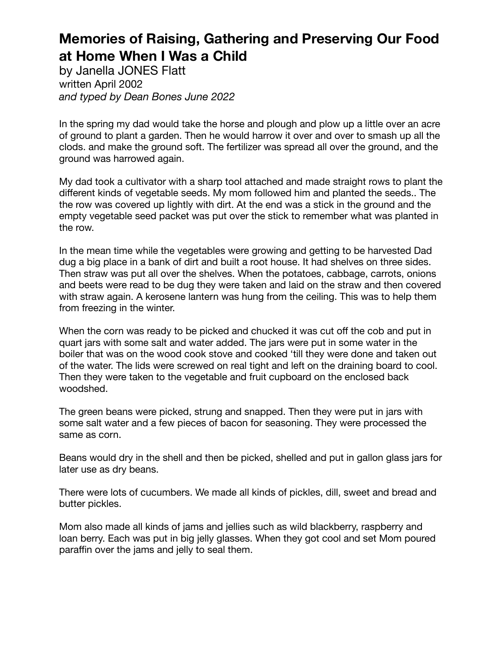by Janella JONES Flatt written April 2002 *and typed by Dean Bones June 2022*

In the spring my dad would take the horse and plough and plow up a little over an acre of ground to plant a garden. Then he would harrow it over and over to smash up all the clods. and make the ground soft. The fertilizer was spread all over the ground, and the ground was harrowed again.

My dad took a cultivator with a sharp tool attached and made straight rows to plant the different kinds of vegetable seeds. My mom followed him and planted the seeds.. The the row was covered up lightly with dirt. At the end was a stick in the ground and the empty vegetable seed packet was put over the stick to remember what was planted in the row.

In the mean time while the vegetables were growing and getting to be harvested Dad dug a big place in a bank of dirt and built a root house. It had shelves on three sides. Then straw was put all over the shelves. When the potatoes, cabbage, carrots, onions and beets were read to be dug they were taken and laid on the straw and then covered with straw again. A kerosene lantern was hung from the ceiling. This was to help them from freezing in the winter.

When the corn was ready to be picked and chucked it was cut off the cob and put in quart jars with some salt and water added. The jars were put in some water in the boiler that was on the wood cook stove and cooked 'till they were done and taken out of the water. The lids were screwed on real tight and left on the draining board to cool. Then they were taken to the vegetable and fruit cupboard on the enclosed back woodshed.

The green beans were picked, strung and snapped. Then they were put in jars with some salt water and a few pieces of bacon for seasoning. They were processed the same as corn.

Beans would dry in the shell and then be picked, shelled and put in gallon glass jars for later use as dry beans.

There were lots of cucumbers. We made all kinds of pickles, dill, sweet and bread and butter pickles.

Mom also made all kinds of jams and jellies such as wild blackberry, raspberry and loan berry. Each was put in big jelly glasses. When they got cool and set Mom poured paraffin over the jams and jelly to seal them.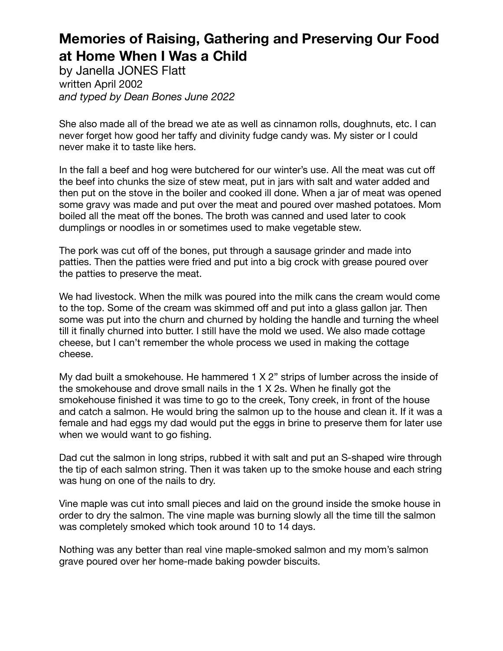by Janella JONES Flatt written April 2002 *and typed by Dean Bones June 2022*

She also made all of the bread we ate as well as cinnamon rolls, doughnuts, etc. I can never forget how good her taffy and divinity fudge candy was. My sister or I could never make it to taste like hers.

In the fall a beef and hog were butchered for our winter's use. All the meat was cut off the beef into chunks the size of stew meat, put in jars with salt and water added and then put on the stove in the boiler and cooked ill done. When a jar of meat was opened some gravy was made and put over the meat and poured over mashed potatoes. Mom boiled all the meat off the bones. The broth was canned and used later to cook dumplings or noodles in or sometimes used to make vegetable stew.

The pork was cut off of the bones, put through a sausage grinder and made into patties. Then the patties were fried and put into a big crock with grease poured over the patties to preserve the meat.

We had livestock. When the milk was poured into the milk cans the cream would come to the top. Some of the cream was skimmed off and put into a glass gallon jar. Then some was put into the churn and churned by holding the handle and turning the wheel till it finally churned into butter. I still have the mold we used. We also made cottage cheese, but I can't remember the whole process we used in making the cottage cheese.

My dad built a smokehouse. He hammered 1 X 2" strips of lumber across the inside of the smokehouse and drove small nails in the 1 X 2s. When he finally got the smokehouse finished it was time to go to the creek, Tony creek, in front of the house and catch a salmon. He would bring the salmon up to the house and clean it. If it was a female and had eggs my dad would put the eggs in brine to preserve them for later use when we would want to go fishing.

Dad cut the salmon in long strips, rubbed it with salt and put an S-shaped wire through the tip of each salmon string. Then it was taken up to the smoke house and each string was hung on one of the nails to dry.

Vine maple was cut into small pieces and laid on the ground inside the smoke house in order to dry the salmon. The vine maple was burning slowly all the time till the salmon was completely smoked which took around 10 to 14 days.

Nothing was any better than real vine maple-smoked salmon and my mom's salmon grave poured over her home-made baking powder biscuits.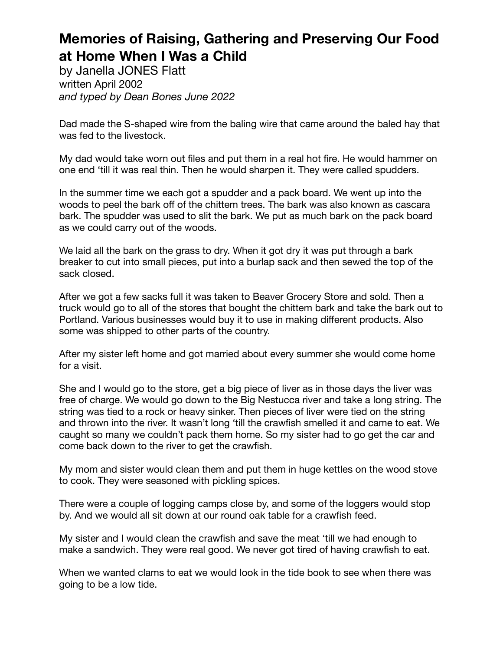by Janella JONES Flatt written April 2002 *and typed by Dean Bones June 2022*

Dad made the S-shaped wire from the baling wire that came around the baled hay that was fed to the livestock.

My dad would take worn out files and put them in a real hot fire. He would hammer on one end 'till it was real thin. Then he would sharpen it. They were called spudders.

In the summer time we each got a spudder and a pack board. We went up into the woods to peel the bark off of the chittem trees. The bark was also known as cascara bark. The spudder was used to slit the bark. We put as much bark on the pack board as we could carry out of the woods.

We laid all the bark on the grass to dry. When it got dry it was put through a bark breaker to cut into small pieces, put into a burlap sack and then sewed the top of the sack closed.

After we got a few sacks full it was taken to Beaver Grocery Store and sold. Then a truck would go to all of the stores that bought the chittem bark and take the bark out to Portland. Various businesses would buy it to use in making different products. Also some was shipped to other parts of the country.

After my sister left home and got married about every summer she would come home for a visit.

She and I would go to the store, get a big piece of liver as in those days the liver was free of charge. We would go down to the Big Nestucca river and take a long string. The string was tied to a rock or heavy sinker. Then pieces of liver were tied on the string and thrown into the river. It wasn't long 'till the crawfish smelled it and came to eat. We caught so many we couldn't pack them home. So my sister had to go get the car and come back down to the river to get the crawfish.

My mom and sister would clean them and put them in huge kettles on the wood stove to cook. They were seasoned with pickling spices.

There were a couple of logging camps close by, and some of the loggers would stop by. And we would all sit down at our round oak table for a crawfish feed.

My sister and I would clean the crawfish and save the meat 'till we had enough to make a sandwich. They were real good. We never got tired of having crawfish to eat.

When we wanted clams to eat we would look in the tide book to see when there was going to be a low tide.